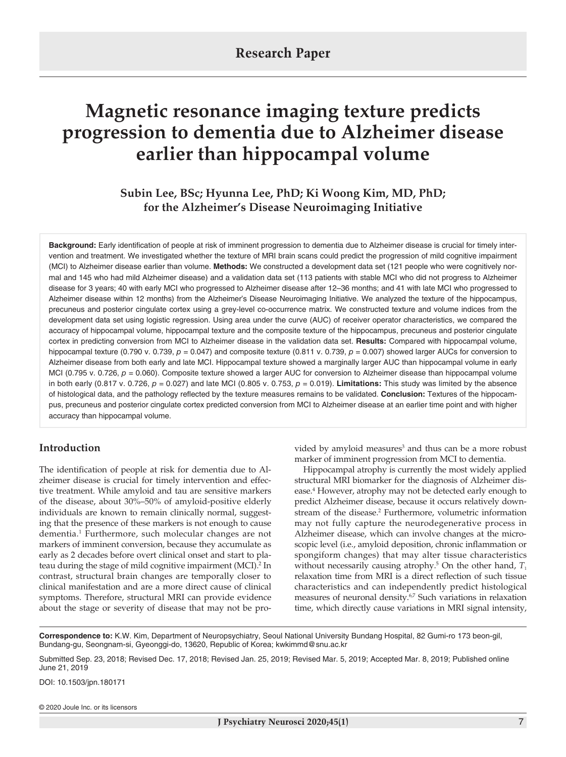# **Magnetic resonance imaging texture predicts progression to dementia due to Alzheimer disease earlier than hippocampal volume**

## **Subin Lee, BSc; Hyunna Lee, PhD; Ki Woong Kim, MD, PhD; for the Alzheimer's Disease Neuroimaging Initiative**

**Background:** Early identification of people at risk of imminent progression to dementia due to Alzheimer disease is crucial for timely intervention and treatment. We investigated whether the texture of MRI brain scans could predict the progression of mild cognitive impairment (MCI) to Alzheimer disease earlier than volume. **Methods:** We constructed a development data set (121 people who were cognitively normal and 145 who had mild Alzheimer disease) and a validation data set (113 patients with stable MCI who did not progress to Alzheimer disease for 3 years; 40 with early MCI who progressed to Alzheimer disease after 12–36 months; and 41 with late MCI who progressed to Alzheimer disease within 12 months) from the Alzheimer's Disease Neuroimaging Initiative. We analyzed the texture of the hippocampus, precuneus and posterior cingulate cortex using a grey-level co-occurrence matrix. We constructed texture and volume indices from the development data set using logistic regression. Using area under the curve (AUC) of receiver operator characteristics, we compared the accuracy of hippocampal volume, hippocampal texture and the composite texture of the hippocampus, precuneus and posterior cingulate cortex in predicting conversion from MCI to Alzheimer disease in the validation data set. **Results:** Compared with hippocampal volume, hippocampal texture (0.790 v. 0.739,  $p = 0.047$ ) and composite texture (0.811 v. 0.739,  $p = 0.007$ ) showed larger AUCs for conversion to Alzheimer disease from both early and late MCI. Hippocampal texture showed a marginally larger AUC than hippocampal volume in early MCI (0.795 v. 0.726,  $p = 0.060$ ). Composite texture showed a larger AUC for conversion to Alzheimer disease than hippocampal volume in both early (0.817 v. 0.726,  $p = 0.027$ ) and late MCI (0.805 v. 0.753,  $p = 0.019$ ). **Limitations:** This study was limited by the absence of histological data, and the pathology reflected by the texture measures remains to be validated. **Conclusion:** Textures of the hippocampus, precuneus and posterior cingulate cortex predicted conversion from MCI to Alzheimer disease at an earlier time point and with higher accuracy than hippocampal volume.

## **Introduction**

The identification of people at risk for dementia due to Alzheimer disease is crucial for timely intervention and effective treatment. While amyloid and tau are sensitive markers of the disease, about 30%–50% of amyloid-positive elderly individuals are known to remain clinically normal, suggesting that the presence of these markers is not enough to cause dementia.1 Furthermore, such molecular changes are not markers of imminent conversion, because they accumulate as early as 2 decades before overt clinical onset and start to plateau during the stage of mild cognitive impairment (MCI).<sup>2</sup> In contrast, structural brain changes are temporally closer to clinical manifestation and are a more direct cause of clinical symptoms. Therefore, structural MRI can provide evidence about the stage or severity of disease that may not be pro-

vided by amyloid measures<sup>3</sup> and thus can be a more robust marker of imminent progression from MCI to dementia.

Hippocampal atrophy is currently the most widely applied structural MRI biomarker for the diagnosis of Alzheimer disease.<sup>4</sup> However, atrophy may not be detected early enough to predict Alzheimer disease, because it occurs relatively downstream of the disease.<sup>2</sup> Furthermore, volumetric information may not fully capture the neurodegenerative process in Alzheimer disease, which can involve changes at the microscopic level (i.e., amyloid deposition, chronic inflammation or spongiform changes) that may alter tissue characteristics without necessarily causing atrophy.<sup>5</sup> On the other hand, T<sub>1</sub> relaxation time from MRI is a direct reflection of such tissue characteristics and can independently predict histological measures of neuronal density.6,7 Such variations in relaxation time, which directly cause variations in MRI signal intensity,

**Correspondence to:** K.W. Kim, Department of Neuropsychiatry, Seoul National University Bundang Hospital, 82 Gumi-ro 173 beon-gil, Bundang-gu, Seongnam-si, Gyeonggi-do, 13620, Republic of Korea; kwkimmd@snu.ac.kr

Submitted Sep. 23, 2018; Revised Dec. 17, 2018; Revised Jan. 25, 2019; Revised Mar. 5, 2019; Accepted Mar. 8, 2019; Published online June 21, 2019

DOI: 10.1503/jpn.180171

© 2020 Joule Inc. or its licensors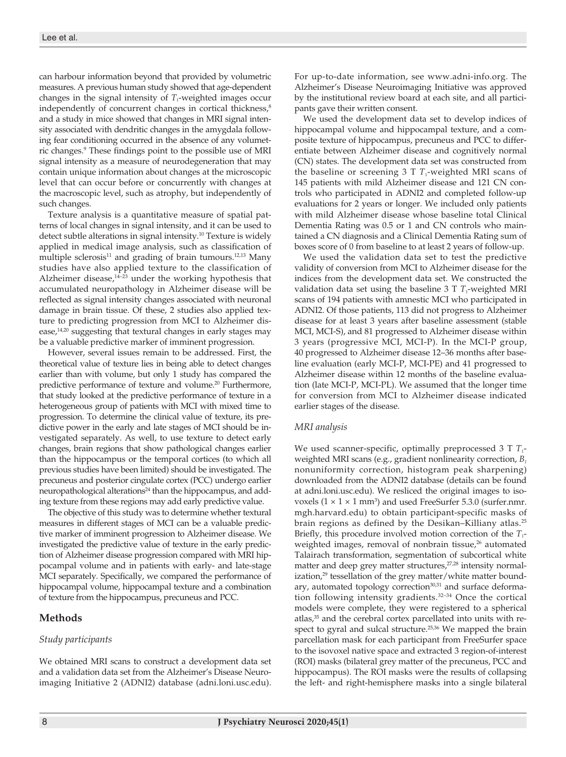can harbour information beyond that provided by volumetric measures. A previous human study showed that age-dependent changes in the signal intensity of  $T_1$ -weighted images occur independently of concurrent changes in cortical thickness, $8$ and a study in mice showed that changes in MRI signal intensity associated with dendritic changes in the amygdala following fear conditioning occurred in the absence of any volumetric changes.<sup>9</sup> These findings point to the possible use of MRI signal intensity as a measure of neurodegeneration that may contain unique information about changes at the microscopic level that can occur before or concurrently with changes at the macroscopic level, such as atrophy, but independently of such changes.

Texture analysis is a quantitative measure of spatial patterns of local changes in signal intensity, and it can be used to detect subtle alterations in signal intensity.10 Texture is widely applied in medical image analysis, such as classification of multiple sclerosis $11$  and grading of brain tumours. $12,13$  Many studies have also applied texture to the classification of Alzheimer disease, $14-23$  under the working hypothesis that accumulated neuropathology in Alzheimer disease will be reflected as signal intensity changes associated with neuronal damage in brain tissue. Of these, 2 studies also applied texture to predicting progression from MCI to Alzheimer disease, $14,20$  suggesting that textural changes in early stages may be a valuable predictive marker of imminent progression.

However, several issues remain to be addressed. First, the theoretical value of texture lies in being able to detect changes earlier than with volume, but only 1 study has compared the predictive performance of texture and volume.20 Furthermore, that study looked at the predictive performance of texture in a heterogeneous group of patients with MCI with mixed time to progression. To determine the clinical value of texture, its predictive power in the early and late stages of MCI should be investigated separately. As well, to use texture to detect early changes, brain regions that show pathological changes earlier than the hippocampus or the temporal cortices (to which all previous studies have been limited) should be investigated. The precuneus and posterior cingulate cortex (PCC) undergo earlier neuropathological alterations<sup>24</sup> than the hippocampus, and adding texture from these regions may add early predictive value.

The objective of this study was to determine whether textural measures in different stages of MCI can be a valuable predictive marker of imminent progression to Alzheimer disease. We investigated the predictive value of texture in the early prediction of Alzheimer disease progression compared with MRI hippocampal volume and in patients with early- and late-stage MCI separately. Specifically, we compared the performance of hippocampal volume, hippocampal texture and a combination of texture from the hippocampus, precuneus and PCC.

### **Methods**

#### *Study participants*

We obtained MRI scans to construct a development data set and a validation data set from the Alzheimer's Disease Neuroimaging Initiative 2 (ADNI2) database (adni.loni.usc.edu). For up-to-date information, see www.adni-info.org. The Alzheimer's Disease Neuroimaging Initiative was approved by the institutional review board at each site, and all participants gave their written consent.

We used the development data set to develop indices of hippocampal volume and hippocampal texture, and a composite texture of hippocampus, precuneus and PCC to differentiate between Alzheimer disease and cognitively normal (CN) states. The development data set was constructed from the baseline or screening  $3 T<sub>1</sub>$ -weighted MRI scans of 145 patients with mild Alzheimer disease and 121 CN controls who participated in ADNI2 and completed follow-up evaluations for 2 years or longer. We included only patients with mild Alzheimer disease whose baseline total Clinical Dementia Rating was 0.5 or 1 and CN controls who maintained a CN diagnosis and a Clinical Dementia Rating sum of boxes score of 0 from baseline to at least 2 years of follow-up.

We used the validation data set to test the predictive validity of conversion from MCI to Alzheimer disease for the indices from the development data set. We constructed the validation data set using the baseline  $3$  T  $T_1$ -weighted MRI scans of 194 patients with amnestic MCI who participated in ADNI2. Of those patients, 113 did not progress to Alzheimer disease for at least 3 years after baseline assessment (stable MCI, MCI-S), and 81 progressed to Alzheimer disease within 3 years (progressive MCI, MCI-P). In the MCI-P group, 40 progressed to Alzheimer disease 12–36 months after baseline evaluation (early MCI-P, MCI-PE) and 41 progressed to Alzheimer disease within 12 months of the baseline evaluation (late MCI-P, MCI-PL). We assumed that the longer time for conversion from MCI to Alzheimer disease indicated earlier stages of the disease.

#### *MRI analysis*

We used scanner-specific, optimally preprocessed 3 T  $T_1$ weighted MRI scans (e.g., gradient nonlinearity correction, *B1* nonuniformity correction, histogram peak sharpening) downloaded from the ADNI2 database (details can be found at adni.loni.usc.edu). We resliced the original images to isovoxels  $(1 \times 1 \times 1$  mm<sup>3</sup>) and used FreeSurfer 5.3.0 (surfer.nmr. mgh.harvard.edu) to obtain participant-specific masks of brain regions as defined by the Desikan–Killiany atlas.25 Briefly, this procedure involved motion correction of the  $T_1$ weighted images, removal of nonbrain tissue, $26$  automated Talairach transformation, segmentation of subcortical white matter and deep grey matter structures,<sup>27,28</sup> intensity normalization,<sup>29</sup> tessellation of the grey matter/white matter boundary, automated topology correction<sup>30,31</sup> and surface deformation following intensity gradients.<sup>32-34</sup> Once the cortical models were complete, they were registered to a spherical atlas,<sup>35</sup> and the cerebral cortex parcellated into units with respect to gyral and sulcal structure.<sup>25,36</sup> We mapped the brain parcellation mask for each participant from FreeSurfer space to the isovoxel native space and extracted 3 region-of-interest (ROI) masks (bilateral grey matter of the precuneus, PCC and hippocampus). The ROI masks were the results of collapsing the left- and right-hemisphere masks into a single bilateral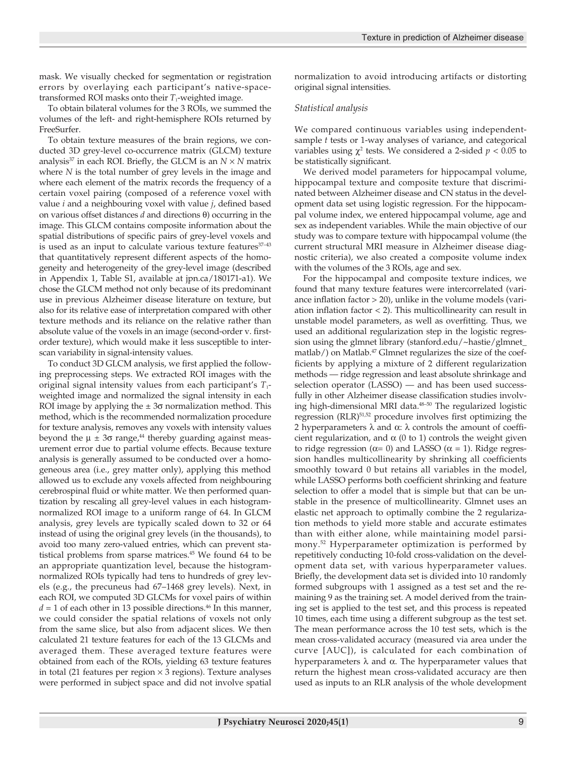mask. We visually checked for segmentation or registration errors by overlaying each participant's native-spacetransformed ROI masks onto their  $T_1$ -weighted image.

To obtain bilateral volumes for the 3 ROIs, we summed the volumes of the left- and right-hemisphere ROIs returned by FreeSurfer.

To obtain texture measures of the brain regions, we conducted 3D grey-level co-occurrence matrix (GLCM) texture analysis<sup>37</sup> in each ROI. Briefly, the GLCM is an  $N \times N$  matrix where *N* is the total number of grey levels in the image and where each element of the matrix records the frequency of a certain voxel pairing (composed of a reference voxel with value *i* and a neighbouring voxel with value *j*, defined based on various offset distances *d* and directions θ) occurring in the image. This GLCM contains composite information about the spatial distributions of specific pairs of grey-level voxels and is used as an input to calculate various texture features<sup>37-43</sup> that quantitatively represent different aspects of the homogeneity and heterogeneity of the grey-level image (described in Appendix 1, Table S1, available at jpn.ca/180171-a1). We chose the GLCM method not only because of its predominant use in previous Alzheimer disease literature on texture, but also for its relative ease of interpretation compared with other texture methods and its reliance on the relative rather than absolute value of the voxels in an image (second-order v. firstorder texture), which would make it less susceptible to interscan variability in signal-intensity values.

To conduct 3D GLCM analysis, we first applied the following preprocessing steps. We extracted ROI images with the original signal intensity values from each participant's  $T_1$ weighted image and normalized the signal intensity in each ROI image by applying the  $\pm 3\sigma$  normalization method. This method, which is the recommended normalization procedure for texture analysis, removes any voxels with intensity values beyond the  $\mu \pm 3\sigma$  range,<sup>44</sup> thereby guarding against measurement error due to partial volume effects. Because texture analysis is generally assumed to be conducted over a homogeneous area (i.e., grey matter only), applying this method allowed us to exclude any voxels affected from neighbouring cerebrospinal fluid or white matter. We then performed quantization by rescaling all grey-level values in each histogramnormalized ROI image to a uniform range of 64. In GLCM analysis, grey levels are typically scaled down to 32 or 64 instead of using the original grey levels (in the thousands), to avoid too many zero-valued entries, which can prevent statistical problems from sparse matrices.45 We found 64 to be an appropriate quantization level, because the histogramnormalized ROIs typically had tens to hundreds of grey levels (e.g., the precuneus had 67–1468 grey levels). Next, in each ROI, we computed 3D GLCMs for voxel pairs of within  $d = 1$  of each other in 13 possible directions.<sup>46</sup> In this manner, we could consider the spatial relations of voxels not only from the same slice, but also from adjacent slices. We then calculated 21 texture features for each of the 13 GLCMs and averaged them. These averaged texture features were obtained from each of the ROIs, yielding 63 texture features in total (21 features per region  $\times$  3 regions). Texture analyses were performed in subject space and did not involve spatial

normalization to avoid introducing artifacts or distorting original signal intensities.

#### *Statistical analysis*

We compared continuous variables using independentsample *t* tests or 1-way analyses of variance, and categorical variables using  $\chi^2$  tests. We considered a 2-sided  $p < 0.05$  to be statistically significant.

We derived model parameters for hippocampal volume, hippocampal texture and composite texture that discriminated between Alzheimer disease and CN status in the development data set using logistic regression. For the hippocampal volume index, we entered hippocampal volume, age and sex as independent variables. While the main objective of our study was to compare texture with hippocampal volume (the current structural MRI measure in Alzheimer disease diagnostic criteria), we also created a composite volume index with the volumes of the 3 ROIs, age and sex.

For the hippocampal and composite texture indices, we found that many texture features were intercorrelated (variance inflation factor > 20), unlike in the volume models (variation inflation factor < 2). This multicollinearity can result in unstable model parameters, as well as overfitting. Thus, we used an additional regularization step in the logistic regression using the glmnet library (stanford.edu/~hastie/glmnet\_ matlab/) on Matlab.<sup>47</sup> Glmnet regularizes the size of the coefficients by applying a mixture of 2 different regularization methods — ridge regression and least absolute shrinkage and selection operator (LASSO) — and has been used successfully in other Alzheimer disease classification studies involving high-dimensional MRI data.<sup>48-50</sup> The regularized logistic regression (RLR)51,52 procedure involves first optimizing the 2 hyperparameters  $\lambda$  and  $\alpha$ :  $\lambda$  controls the amount of coefficient regularization, and  $\alpha$  (0 to 1) controls the weight given to ridge regression ( $α=0$ ) and LASSO ( $α=1$ ). Ridge regression handles multicollinearity by shrinking all coefficients smoothly toward 0 but retains all variables in the model, while LASSO performs both coefficient shrinking and feature selection to offer a model that is simple but that can be unstable in the presence of multicollinearity. Glmnet uses an elastic net approach to optimally combine the 2 regularization methods to yield more stable and accurate estimates than with either alone, while maintaining model parsimony.52 Hyperparameter optimization is performed by repetitively conducting 10-fold cross-validation on the development data set, with various hyperparameter values. Briefly, the development data set is divided into 10 randomly formed subgroups with 1 assigned as a test set and the remaining 9 as the training set. A model derived from the training set is applied to the test set, and this process is repeated 10 times, each time using a different subgroup as the test set. The mean performance across the 10 test sets, which is the mean cross-validated accuracy (measured via area under the curve [AUC]), is calculated for each combination of hyperparameters λ and α. The hyperparameter values that return the highest mean cross-validated accuracy are then used as inputs to an RLR analysis of the whole development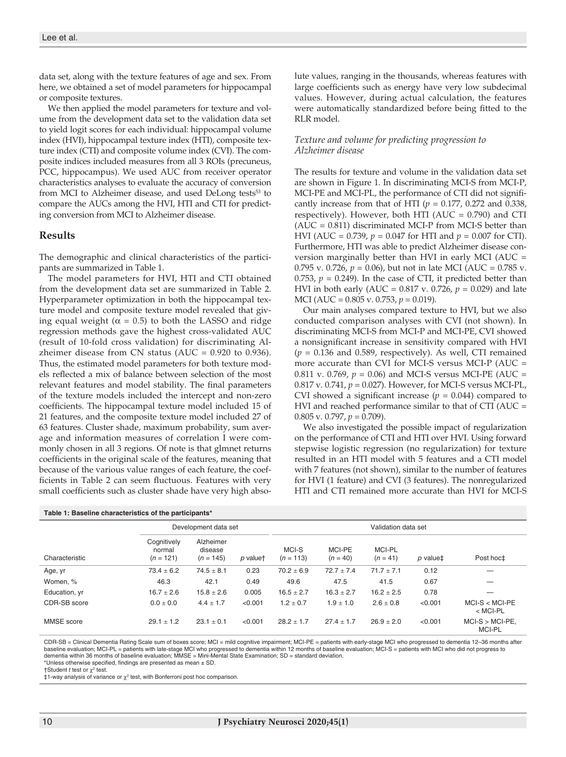data set, along with the texture features of age and sex. From here, we obtained a set of model parameters for hippocampal or composite textures.

We then applied the model parameters for texture and volume from the development data set to the validation data set to yield logit scores for each individual: hippocampal volume index (HVI), hippocampal texture index (HTI), composite texture index (CTI) and composite volume index (CVI). The composite indices included measures from all 3 ROIs (precuneus, PCC, hippocampus). We used AUC from receiver operator characteristics analyses to evaluate the accuracy of conversion from MCI to Alzheimer disease, and used DeLong tests<sup>53</sup> to compare the AUCs among the HVI, HTI and CTI for predicting conversion from MCI to Alzheimer disease.

#### **Results**

The demographic and clinical characteristics of the participants are summarized in Table 1.

The model parameters for HVI, HTI and CTI obtained from the development data set are summarized in Table 2. Hyperparameter optimization in both the hippocampal texture model and composite texture model revealed that giving equal weight ( $\alpha = 0.5$ ) to both the LASSO and ridge regression methods gave the highest cross-validated AUC (result of 10-fold cross validation) for discriminating Alzheimer disease from CN status (AUC =  $0.920$  to  $0.936$ ). Thus, the estimated model parameters for both texture models reflected a mix of balance between selection of the most relevant features and model stability. The final parameters of the texture models included the intercept and non-zero coefficients. The hippocampal texture model included 15 of 21 features, and the composite texture model included 27 of 63 features. Cluster shade, maximum probability, sum average and information measures of correlation I were commonly chosen in all 3 regions. Of note is that glmnet returns coefficients in the original scale of the features, meaning that because of the various value ranges of each feature, the coefficients in Table 2 can seem fluctuous. Features with very small coefficients such as cluster shade have very high absolute values, ranging in the thousands, whereas features with large coefficients such as energy have very low subdecimal values. However, during actual calculation, the features were automatically standardized before being fitted to the RLR model.

#### *Texture and volume for predicting progression to Alzheimer disease*

The results for texture and volume in the validation data set are shown in Figure 1. In discriminating MCI-S from MCI-P, MCI-PE and MCI-PL, the performance of CTI did not significantly increase from that of HTI ( $p = 0.177$ , 0.272 and 0.338, respectively). However, both HTI ( $AUC = 0.790$ ) and CTI  $(AUC = 0.811)$  discriminated MCI-P from MCI-S better than HVI (AUC = 0.739, *p* = 0.047 for HTI and *p* = 0.007 for CTI). Furthermore, HTI was able to predict Alzheimer disease conversion marginally better than HVI in early MCI (AUC = 0.795 v. 0.726,  $p = 0.06$ ), but not in late MCI (AUC = 0.785 v. 0.753,  $p = 0.249$ ). In the case of CTI, it predicted better than HVI in both early (AUC = 0.817 v. 0.726, *p* = 0.029) and late MCI (AUC = 0.805 v. 0.753, *p* = 0.019).

Our main analyses compared texture to HVI, but we also conducted comparison analyses with CVI (not shown). In discriminating MCI-S from MCI-P and MCI-PE, CVI showed a nonsignificant increase in sensitivity compared with HVI  $(p = 0.136$  and 0.589, respectively). As well, CTI remained more accurate than CVI for MCI-S versus MCI-P (AUC = 0.811 v. 0.769,  $p = 0.06$ ) and MCI-S versus MCI-PE (AUC = 0.817 v. 0.741, *p* = 0.027). However, for MCI-S versus MCI-PL, CVI showed a significant increase  $(p = 0.044)$  compared to HVI and reached performance similar to that of CTI (AUC = 0.805 v. 0.797, *p* = 0.709).

We also investigated the possible impact of regularization on the performance of CTI and HTI over HVI. Using forward stepwise logistic regression (no regularization) for texture resulted in an HTI model with 5 features and a CTI model with 7 features (not shown), similar to the number of features for HVI (1 feature) and CVI (3 features). The nonregularized HTI and CTI remained more accurate than HVI for MCI-S

| Table 1: Baseline characteristics of the participants* |                                      |                                     |          |                      |                      |                             |          |                                    |  |  |
|--------------------------------------------------------|--------------------------------------|-------------------------------------|----------|----------------------|----------------------|-----------------------------|----------|------------------------------------|--|--|
|                                                        | Development data set                 |                                     |          | Validation data set  |                      |                             |          |                                    |  |  |
| Characteristic                                         | Coanitively<br>normal<br>$(n = 121)$ | Alzheimer<br>disease<br>$(n = 145)$ | p valuet | MCI-S<br>$(n = 113)$ | MCI-PE<br>$(n = 40)$ | <b>MCI-PL</b><br>$(n = 41)$ | p value‡ | Post hoc±                          |  |  |
| Age, yr                                                | $73.4 \pm 6.2$                       | $74.5 \pm 8.1$                      | 0.23     | $70.2 \pm 6.9$       | $72.7 + 7.4$         | $71.7 \pm 7.1$              | 0.12     |                                    |  |  |
| Women. %                                               | 46.3                                 | 42.1                                | 0.49     | 49.6                 | 47.5                 | 41.5                        | 0.67     |                                    |  |  |
| Education, yr                                          | $16.7 \pm 2.6$                       | $15.8 \pm 2.6$                      | 0.005    | $16.5 \pm 2.7$       | $16.3 \pm 2.7$       | $16.2 + 2.5$                | 0.78     |                                    |  |  |
| CDR-SB score                                           | $0.0 + 0.0$                          | $4.4 + 1.7$                         | < 0.001  | $1.2 + 0.7$          | $1.9 + 1.0$          | $2.6 + 0.8$                 | < 0.001  | $MCI-S < MCI-PE$<br>$<$ MCI-PL     |  |  |
| MMSE score                                             | $29.1 + 1.2$                         | $23.1 + 0.1$                        | < 0.001  | $28.2 + 1.7$         | $27.4 + 1.7$         | $26.9 + 2.0$                | < 0.001  | $MCI-S > MCI-PE.$<br><b>MCI-PL</b> |  |  |

CDR-SB = Clinical Dementia Rating Scale sum of boxes score; MCI = mild cognitive impairment; MCI-PE = patients with early-stage MCI who progressed to dementia 12–36 months after baseline evaluation; MCI-PL = patients with late-stage MCI who progressed to dementia within 12 months of baseline evaluation; MCI-S = patients with MCI who did not progress to dementia within 36 months of baseline evaluation; MMSE = Mini-Mental State Examination; SD = standard deviation. \*Unless otherwise specified, findings are presented as mean ± SD.

†Student *t* test or χ2 test.

 $\ddot{\ddot{\mathbf{z}}}$ 1-way analysis of variance or  $\chi^2$  test, with Bonferroni post hoc comparison.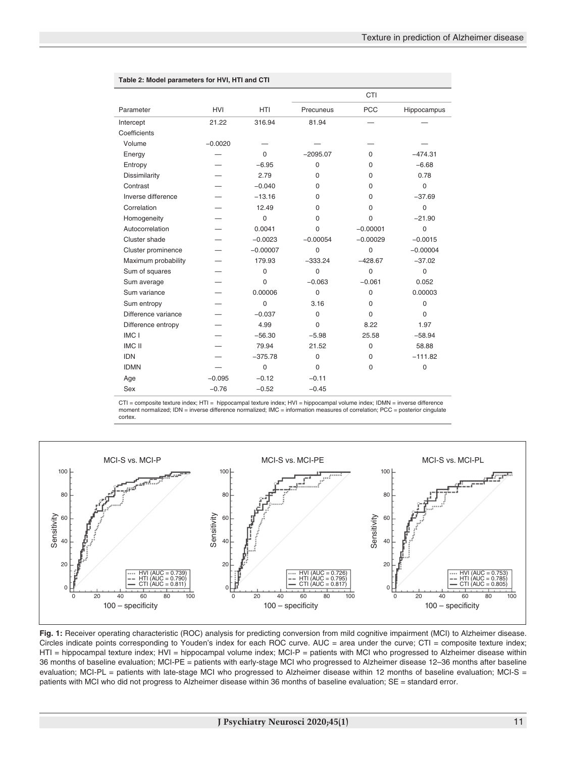|                     |            |                |                | <b>CTI</b>  |             |
|---------------------|------------|----------------|----------------|-------------|-------------|
| Parameter           | <b>HVI</b> | <b>HTI</b>     | Precuneus      | <b>PCC</b>  | Hippocampus |
| Intercept           | 21.22      | 316.94         | 81.94          |             |             |
| Coefficients        |            |                |                |             |             |
| Volume              | $-0.0020$  |                |                |             |             |
| Energy              |            | $\mathbf 0$    | $-2095.07$     | 0           | $-474.31$   |
| Entropy             |            | $-6.95$        | $\mathbf 0$    | $\Omega$    | $-6.68$     |
| Dissimilarity       |            | 2.79           | $\Omega$       | $\Omega$    | 0.78        |
| Contrast            |            | $-0.040$       | $\Omega$       | $\mathbf 0$ | $\mathbf 0$ |
| Inverse difference  |            | $-13.16$       | $\Omega$       | $\mathbf 0$ | $-37.69$    |
| Correlation         |            | 12.49          | $\Omega$       | $\Omega$    | $\mathbf 0$ |
| Homogeneity         |            | $\mathbf 0$    | $\Omega$       | $\Omega$    | $-21.90$    |
| Autocorrelation     |            | 0.0041         | 0              | $-0.00001$  | $\mathbf 0$ |
| Cluster shade       |            | $-0.0023$      | $-0.00054$     | $-0.00029$  | $-0.0015$   |
| Cluster prominence  |            | $-0.00007$     | $\overline{0}$ | 0           | $-0.00004$  |
| Maximum probability |            | 179.93         | $-333.24$      | $-428.67$   | $-37.02$    |
| Sum of squares      |            | $\mathbf 0$    | $\Omega$       | $\Omega$    | $\mathbf 0$ |
| Sum average         |            | $\Omega$       | $-0.063$       | $-0.061$    | 0.052       |
| Sum variance        |            | 0.00006        | $\overline{0}$ | $\mathbf 0$ | 0.00003     |
| Sum entropy         |            | $\Omega$       | 3.16           | $\Omega$    | $\mathbf 0$ |
| Difference variance |            | $-0.037$       | $\mathbf 0$    | $\Omega$    | $\Omega$    |
| Difference entropy  |            | 4.99           | $\overline{0}$ | 8.22        | 1.97        |
| IMC I               |            | $-56.30$       | $-5.98$        | 25.58       | $-58.94$    |
| <b>IMC II</b>       |            | 79.94          | 21.52          | $\mathbf 0$ | 58.88       |
| <b>IDN</b>          |            | $-375.78$      | $\mathbf 0$    | $\mathbf 0$ | $-111.82$   |
| <b>IDMN</b>         |            | $\overline{0}$ | $\Omega$       | $\Omega$    | 0           |
| Age                 | $-0.095$   | $-0.12$        | $-0.11$        |             |             |
| Sex                 | $-0.76$    | $-0.52$        | $-0.45$        |             |             |

#### **Table 2: Model parameters for HVI, HTI and CTI**

CTI = composite texture index; HTI = hippocampal texture index; HVI = hippocampal volume index; IDMN = inverse difference<br>moment normalized; IDN = inverse difference normalized; IMC = information measures of correlation; cortex.



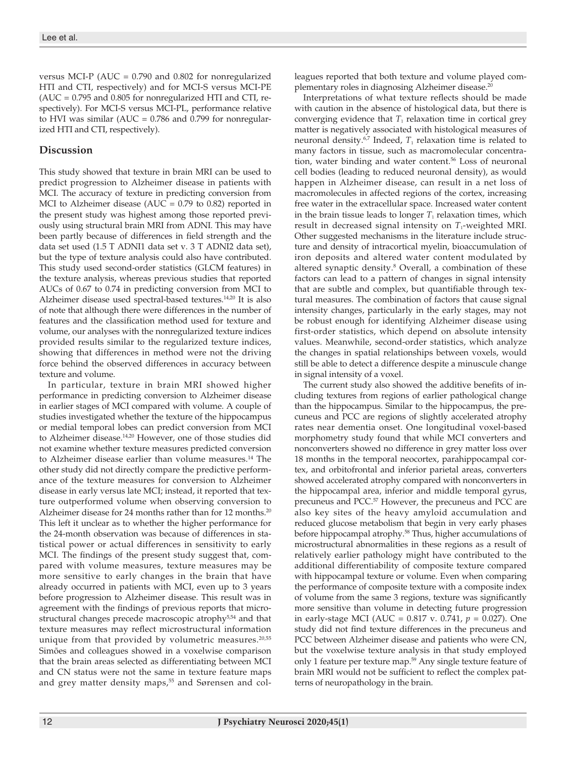versus MCI-P (AUC = 0.790 and 0.802 for nonregularized HTI and CTI, respectively) and for MCI-S versus MCI-PE (AUC = 0.795 and 0.805 for nonregularized HTI and CTI, respectively). For MCI-S versus MCI-PL, performance relative to HVI was similar (AUC = 0.786 and 0.799 for nonregularized HTI and CTI, respectively).

## **Discussion**

This study showed that texture in brain MRI can be used to predict progression to Alzheimer disease in patients with MCI. The accuracy of texture in predicting conversion from MCI to Alzheimer disease (AUC =  $0.79$  to  $0.82$ ) reported in the present study was highest among those reported previously using structural brain MRI from ADNI. This may have been partly because of differences in field strength and the data set used (1.5 T ADNI1 data set v. 3 T ADNI2 data set), but the type of texture analysis could also have contributed. This study used second-order statistics (GLCM features) in the texture analysis, whereas previous studies that reported AUCs of 0.67 to 0.74 in predicting conversion from MCI to Alzheimer disease used spectral-based textures.14,20 It is also of note that although there were differences in the number of features and the classification method used for texture and volume, our analyses with the nonregularized texture indices provided results similar to the regularized texture indices, showing that differences in method were not the driving force behind the observed differences in accuracy between texture and volume.

In particular, texture in brain MRI showed higher performance in predicting conversion to Alzheimer disease in earlier stages of MCI compared with volume. A couple of studies investigated whether the texture of the hippocampus or medial temporal lobes can predict conversion from MCI to Alzheimer disease.14,20 However, one of those studies did not examine whether texture measures predicted conversion to Alzheimer disease earlier than volume measures.<sup>14</sup> The other study did not directly compare the predictive performance of the texture measures for conversion to Alzheimer disease in early versus late MCI; instead, it reported that texture outperformed volume when observing conversion to Alzheimer disease for 24 months rather than for 12 months.<sup>20</sup> This left it unclear as to whether the higher performance for the 24-month observation was because of differences in statistical power or actual differences in sensitivity to early MCI. The findings of the present study suggest that, compared with volume measures, texture measures may be more sensitive to early changes in the brain that have already occurred in patients with MCI, even up to 3 years before progression to Alzheimer disease. This result was in agreement with the findings of previous reports that microstructural changes precede macroscopic atrophy<sup>5,54</sup> and that texture measures may reflect microstructural information unique from that provided by volumetric measures. $20,55$ Simões and colleagues showed in a voxelwise comparison that the brain areas selected as differentiating between MCI and CN status were not the same in texture feature maps and grey matter density maps,<sup>55</sup> and Sørensen and colleagues reported that both texture and volume played complementary roles in diagnosing Alzheimer disease.20

Interpretations of what texture reflects should be made with caution in the absence of histological data, but there is converging evidence that  $T_1$  relaxation time in cortical grey matter is negatively associated with histological measures of neuronal density.<sup>6,7</sup> Indeed, *T*<sub>1</sub> relaxation time is related to many factors in tissue, such as macromolecular concentration, water binding and water content.<sup>56</sup> Loss of neuronal cell bodies (leading to reduced neuronal density), as would happen in Alzheimer disease, can result in a net loss of macromolecules in affected regions of the cortex, increasing free water in the extracellular space. Increased water content in the brain tissue leads to longer  $T_1$  relaxation times, which result in decreased signal intensity on  $T_1$ -weighted MRI. Other suggested mechanisms in the literature include structure and density of intracortical myelin, bioaccumulation of iron deposits and altered water content modulated by altered synaptic density.<sup>8</sup> Overall, a combination of these factors can lead to a pattern of changes in signal intensity that are subtle and complex, but quantifiable through textural measures. The combination of factors that cause signal intensity changes, particularly in the early stages, may not be robust enough for identifying Alzheimer disease using first-order statistics, which depend on absolute intensity values. Meanwhile, second-order statistics, which analyze the changes in spatial relationships between voxels, would still be able to detect a difference despite a minuscule change in signal intensity of a voxel.

The current study also showed the additive benefits of including textures from regions of earlier pathological change than the hippocampus. Similar to the hippocampus, the precuneus and PCC are regions of slightly accelerated atrophy rates near dementia onset. One longitudinal voxel-based morphometry study found that while MCI converters and nonconverters showed no difference in grey matter loss over 18 months in the temporal neocortex, parahippocampal cortex, and orbitofrontal and inferior parietal areas, converters showed accelerated atrophy compared with nonconverters in the hippocampal area, inferior and middle temporal gyrus, precuneus and PCC.57 However, the precuneus and PCC are also key sites of the heavy amyloid accumulation and reduced glucose metabolism that begin in very early phases before hippocampal atrophy.<sup>58</sup> Thus, higher accumulations of microstructural abnormalities in these regions as a result of relatively earlier pathology might have contributed to the additional differentiability of composite texture compared with hippocampal texture or volume. Even when comparing the performance of composite texture with a composite index of volume from the same 3 regions, texture was significantly more sensitive than volume in detecting future progression in early-stage MCI (AUC = 0.817 v. 0.741, *p* = 0.027). One study did not find texture differences in the precuneus and PCC between Alzheimer disease and patients who were CN, but the voxelwise texture analysis in that study employed only 1 feature per texture map.59 Any single texture feature of brain MRI would not be sufficient to reflect the complex patterns of neuropathology in the brain.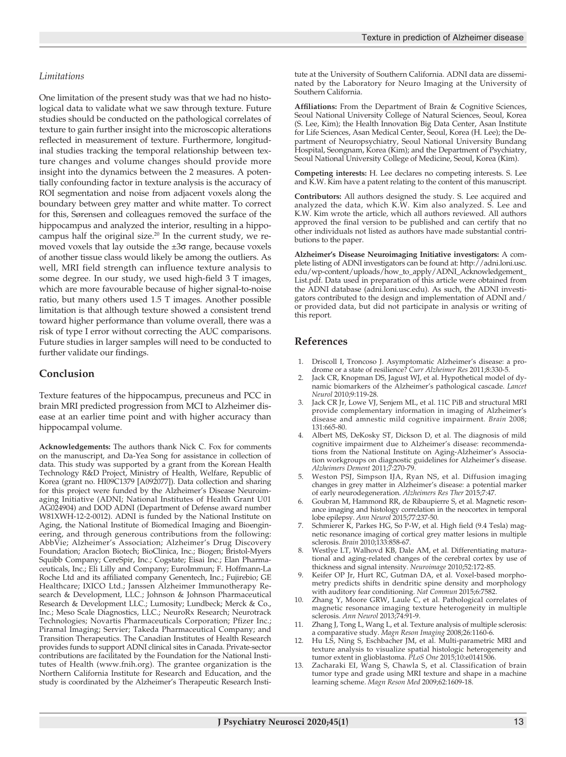#### *Limitations*

One limitation of the present study was that we had no histological data to validate what we saw through texture. Future studies should be conducted on the pathological correlates of texture to gain further insight into the microscopic alterations reflected in measurement of texture. Furthermore, longitudinal studies tracking the temporal relationship between texture changes and volume changes should provide more insight into the dynamics between the 2 measures. A potentially confounding factor in texture analysis is the accuracy of ROI segmentation and noise from adjacent voxels along the boundary between grey matter and white matter. To correct for this, Sørensen and colleagues removed the surface of the hippocampus and analyzed the interior, resulting in a hippocampus half the original size.<sup>20</sup> In the current study, we removed voxels that lay outside the  $\pm 3\sigma$  range, because voxels of another tissue class would likely be among the outliers. As well, MRI field strength can influence texture analysis to some degree. In our study, we used high-field 3 T images, which are more favourable because of higher signal-to-noise ratio, but many others used 1.5 T images. Another possible limitation is that although texture showed a consistent trend toward higher performance than volume overall, there was a risk of type I error without correcting the AUC comparisons. Future studies in larger samples will need to be conducted to further validate our findings.

#### **Conclusion**

Texture features of the hippocampus, precuneus and PCC in brain MRI predicted progression from MCI to Alzheimer disease at an earlier time point and with higher accuracy than hippocampal volume.

**Acknowledgements:** The authors thank Nick C. Fox for comments on the manuscript, and Da-Yea Song for assistance in collection of data. This study was supported by a grant from the Korean Health Technology R&D Project, Ministry of Health, Welfare, Republic of Korea (grant no. HI09C1379 [A092077]). Data collection and sharing for this project were funded by the Alzheimer's Disease Neuroimaging Initiative (ADNI; National Institutes of Health Grant U01 AG024904) and DOD ADNI (Department of Defense award number W81XWH-12-2-0012). ADNI is funded by the National Institute on Aging, the National Institute of Biomedical Imaging and Bioengineering, and through generous contributions from the following: AbbVie; Alzheimer's Association; Alzheimer's Drug Discovery Foundation; Araclon Biotech; BioClinica, Inc.; Biogen; Bristol-Myers Squibb Company; CereSpir, Inc.; Cogstate; Eisai Inc.; Elan Pharmaceuticals, Inc.; Eli Lilly and Company; EuroImmun; F. Hoffmann-La Roche Ltd and its affiliated company Genentech, Inc.; Fujirebio; GE Healthcare; IXICO Ltd.; Janssen Alzheimer Immunotherapy Research & Development, LLC.; Johnson & Johnson Pharmaceutical Research & Development LLC.; Lumosity; Lundbeck; Merck & Co., Inc.; Meso Scale Diagnostics, LLC.; NeuroRx Research; Neurotrack Technologies; Novartis Pharmaceuticals Corporation; Pfizer Inc.; Piramal Imaging; Servier; Takeda Pharmaceutical Company; and Transition Therapeutics. The Canadian Institutes of Health Research provides funds to support ADNI clinical sites in Canada. Private-sector contributions are facilitated by the Foundation for the National Institutes of Health (www.fnih.org). The grantee organization is the Northern California Institute for Research and Education, and the study is coordinated by the Alzheimer's Therapeutic Research Institute at the University of Southern California. ADNI data are disseminated by the Laboratory for Neuro Imaging at the University of Southern California.

**Affiliations:** From the Department of Brain & Cognitive Sciences, Seoul National University College of Natural Sciences, Seoul, Korea (S. Lee, Kim); the Health Innovation Big Data Center, Asan Institute for Life Sciences, Asan Medical Center, Seoul, Korea (H. Lee); the Department of Neuropsychiatry, Seoul National University Bundang Hospital, Seongnam, Korea (Kim); and the Department of Psychiatry, Seoul National University College of Medicine, Seoul, Korea (Kim).

**Competing interests:** H. Lee declares no competing interests. S. Lee and K.W. Kim have a patent relating to the content of this manuscript.

**Contributors:** All authors designed the study. S. Lee acquired and analyzed the data, which K.W. Kim also analyzed.  $\overline{S}$ . Lee and K.W. Kim wrote the article, which all authors reviewed. All authors approved the final version to be published and can certify that no other individuals not listed as authors have made substantial contributions to the paper.

**Alzheimer's Disease Neuroimaging Initiative investigators:** A complete listing of ADNI investigators can be found at: http://adni.loni.usc. edu/wp-content/uploads/how\_to\_apply/ADNI\_Acknowledgement\_ List.pdf. Data used in preparation of this article were obtained from the ADNI database (adni.loni.usc.edu). As such, the ADNI investigators contributed to the design and implementation of ADNI and/ or provided data, but did not participate in analysis or writing of this report.

#### **References**

- 1. Driscoll I, Troncoso J. Asymptomatic Alzheimer's disease: a prodrome or a state of resilience? *Curr Alzheimer Res* 2011;8:330-5.
- Jack CR, Knopman DS, Jagust WJ, et al. Hypothetical model of dynamic biomarkers of the Alzheimer's pathological cascade. *Lancet Neurol* 2010;9:119-28.
- Jack CR Jr, Lowe VJ, Senjem ML, et al. 11C PiB and structural MRI provide complementary information in imaging of Alzheimer's disease and amnestic mild cognitive impairment. *Brain* 2008; 131:665-80.
- 4. Albert MS, DeKosky ST, Dickson D, et al. The diagnosis of mild cognitive impairment due to Alzheimer's disease: recommendations from the National Institute on Aging-Alzheimer's Association workgroups on diagnostic guidelines for Alzheimer's disease. *Alzheimers Dement* 2011;7:270-79.
- 5. Weston PSJ, Simpson IJA, Ryan NS, et al. Diffusion imaging changes in grey matter in Alzheimer's disease: a potential marker of early neurodegeneration. *Alzheimers Res Ther* 2015;7:47.
- 6. Goubran M, Hammond RR, de Ribaupierre S, et al. Magnetic resonance imaging and histology correlation in the neocortex in temporal lobe epilepsy. *Ann Neurol* 2015;77:237-50.
- 7. Schmierer K, Parkes HG, So P-W, et al. High field (9.4 Tesla) magnetic resonance imaging of cortical grey matter lesions in multiple sclerosis. *Brain* 2010;133:858-67.
- 8. Westlye LT, Walhovd KB, Dale AM, et al. Differentiating maturational and aging-related changes of the cerebral cortex by use of thickness and signal intensity. *Neuroimage* 2010;52:172-85.
- Keifer OP Jr, Hurt RC, Gutman DA, et al. Voxel-based morphometry predicts shifts in dendritic spine density and morphology with auditory fear conditioning. *Nat Commun* 2015;6:7582.
- Zhang Y, Moore GRW, Laule C, et al. Pathological correlates of magnetic resonance imaging texture heterogeneity in multiple sclerosis. *Ann Neurol* 2013;74:91-9.
- 11. Zhang J, Tong L, Wang L, et al. Texture analysis of multiple sclerosis: a comparative study. *Magn Reson Imaging* 2008;26:1160-6.
- 12. Hu LS, Ning S, Eschbacher JM, et al. Multi-parametric MRI and texture analysis to visualize spatial histologic heterogeneity and tumor extent in glioblastoma. *PLoS One* 2015;10:e0141506.
- 13. Zacharaki EI, Wang S, Chawla S, et al. Classification of brain tumor type and grade using MRI texture and shape in a machine learning scheme. *Magn Reson Med* 2009;62:1609-18.